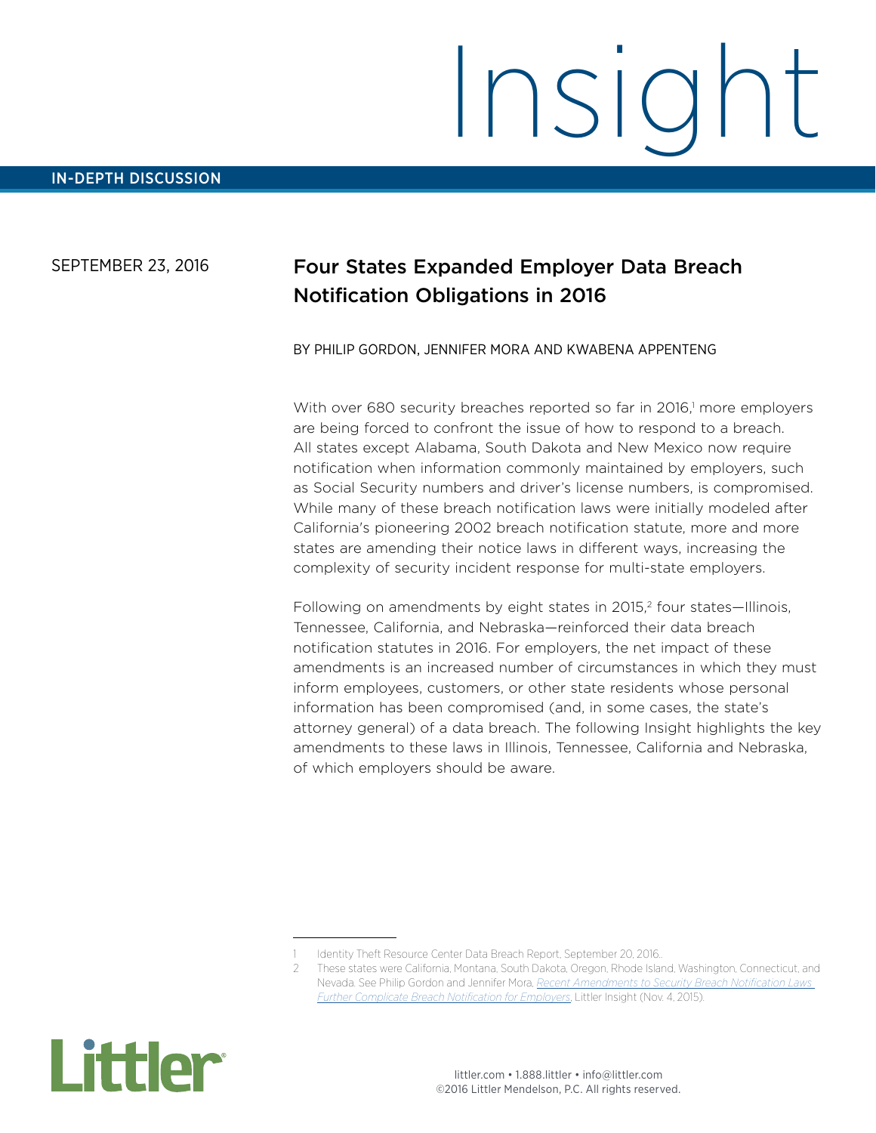SEPTEMBER 23, 2016

# Four States Expanded Employer Data Breach Notification Obligations in 2016

#### BY PHILIP GORDON, JENNIFER MORA AND KWABENA APPENTENG

With over 680 security breaches reported so far in 2016,<sup>1</sup> more employers are being forced to confront the issue of how to respond to a breach. All states except Alabama, South Dakota and New Mexico now require notification when information commonly maintained by employers, such as Social Security numbers and driver's license numbers, is compromised. While many of these breach notification laws were initially modeled after California's pioneering 2002 breach notification statute, more and more states are amending their notice laws in different ways, increasing the complexity of security incident response for multi-state employers.

Following on amendments by eight states in 2015,<sup>2</sup> four states—Illinois, Tennessee, California, and Nebraska—reinforced their data breach notification statutes in 2016. For employers, the net impact of these amendments is an increased number of circumstances in which they must inform employees, customers, or other state residents whose personal information has been compromised (and, in some cases, the state's attorney general) of a data breach. The following Insight highlights the key amendments to these laws in Illinois, Tennessee, California and Nebraska, of which employers should be aware.



<sup>1</sup> Identity Theft Resource Center Data Breach Report, September 20, 2016..

<sup>2</sup> These states were California, Montana, South Dakota, Oregon, Rhode Island, Washington, Connecticut, and Nevada. See Philip Gordon and Jennifer Mora, *[Recent Amendments to Security Breach Notification Laws](https://www.littler.com/publication-press/publication/recent-amendments-security-breach-notification-laws-further-complicate)  [Further Complicate Breach Notification for Employers](https://www.littler.com/publication-press/publication/recent-amendments-security-breach-notification-laws-further-complicate)*, Littler Insight (Nov. 4, 2015).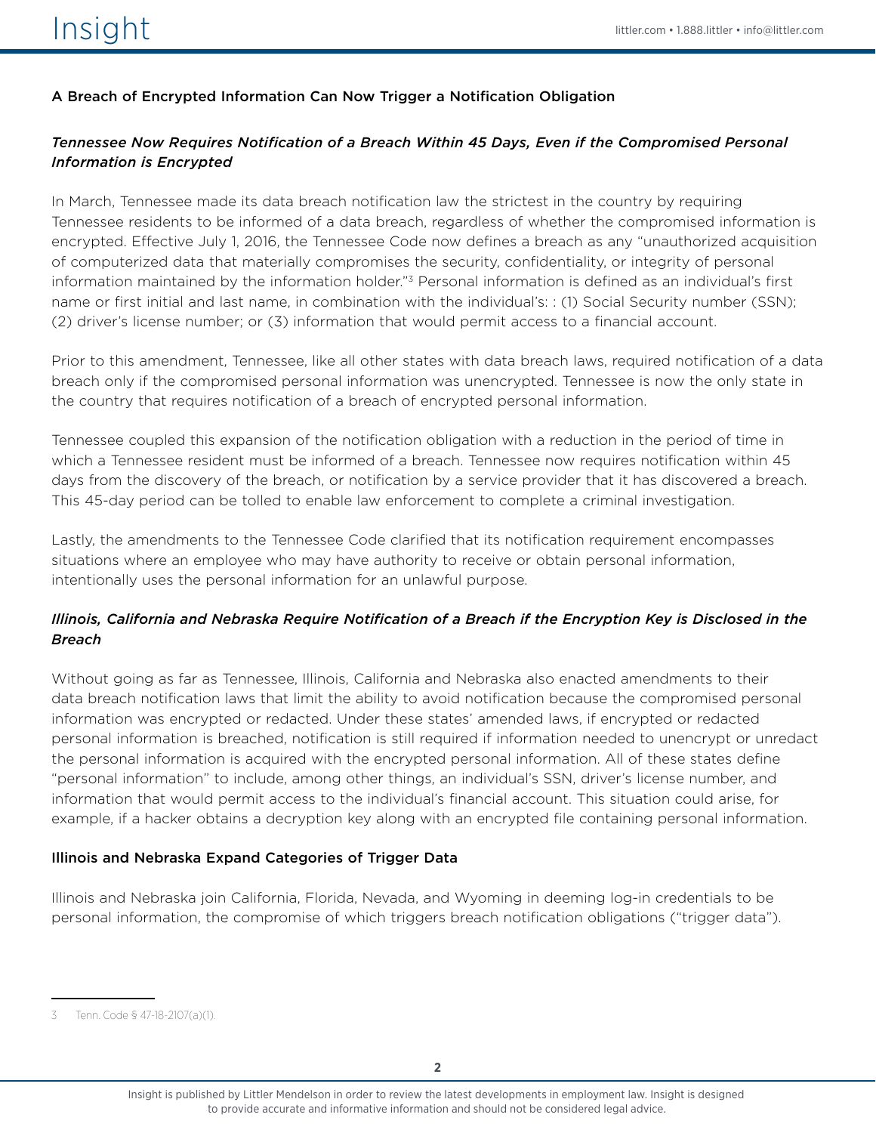## A Breach of Encrypted Information Can Now Trigger a Notification Obligation

# *Tennessee Now Requires Notification of a Breach Within 45 Days, Even if the Compromised Personal Information is Encrypted*

In March, Tennessee made its data breach notification law the strictest in the country by requiring Tennessee residents to be informed of a data breach, regardless of whether the compromised information is encrypted. Effective July 1, 2016, the Tennessee Code now defines a breach as any "unauthorized acquisition of computerized data that materially compromises the security, confidentiality, or integrity of personal information maintained by the information holder."<sup>3</sup> Personal information is defined as an individual's first name or first initial and last name, in combination with the individual's: : (1) Social Security number (SSN); (2) driver's license number; or (3) information that would permit access to a financial account.

Prior to this amendment, Tennessee, like all other states with data breach laws, required notification of a data breach only if the compromised personal information was unencrypted. Tennessee is now the only state in the country that requires notification of a breach of encrypted personal information.

Tennessee coupled this expansion of the notification obligation with a reduction in the period of time in which a Tennessee resident must be informed of a breach. Tennessee now requires notification within 45 days from the discovery of the breach, or notification by a service provider that it has discovered a breach. This 45-day period can be tolled to enable law enforcement to complete a criminal investigation.

Lastly, the amendments to the Tennessee Code clarified that its notification requirement encompasses situations where an employee who may have authority to receive or obtain personal information, intentionally uses the personal information for an unlawful purpose.

## *Illinois, California and Nebraska Require Notification of a Breach if the Encryption Key is Disclosed in the Breach*

Without going as far as Tennessee, Illinois, California and Nebraska also enacted amendments to their data breach notification laws that limit the ability to avoid notification because the compromised personal information was encrypted or redacted. Under these states' amended laws, if encrypted or redacted personal information is breached, notification is still required if information needed to unencrypt or unredact the personal information is acquired with the encrypted personal information. All of these states define "personal information" to include, among other things, an individual's SSN, driver's license number, and information that would permit access to the individual's financial account. This situation could arise, for example, if a hacker obtains a decryption key along with an encrypted file containing personal information.

### Illinois and Nebraska Expand Categories of Trigger Data

Illinois and Nebraska join California, Florida, Nevada, and Wyoming in deeming log-in credentials to be personal information, the compromise of which triggers breach notification obligations ("trigger data").

<sup>3</sup> Tenn. Code § 47-18-2107(a)(1).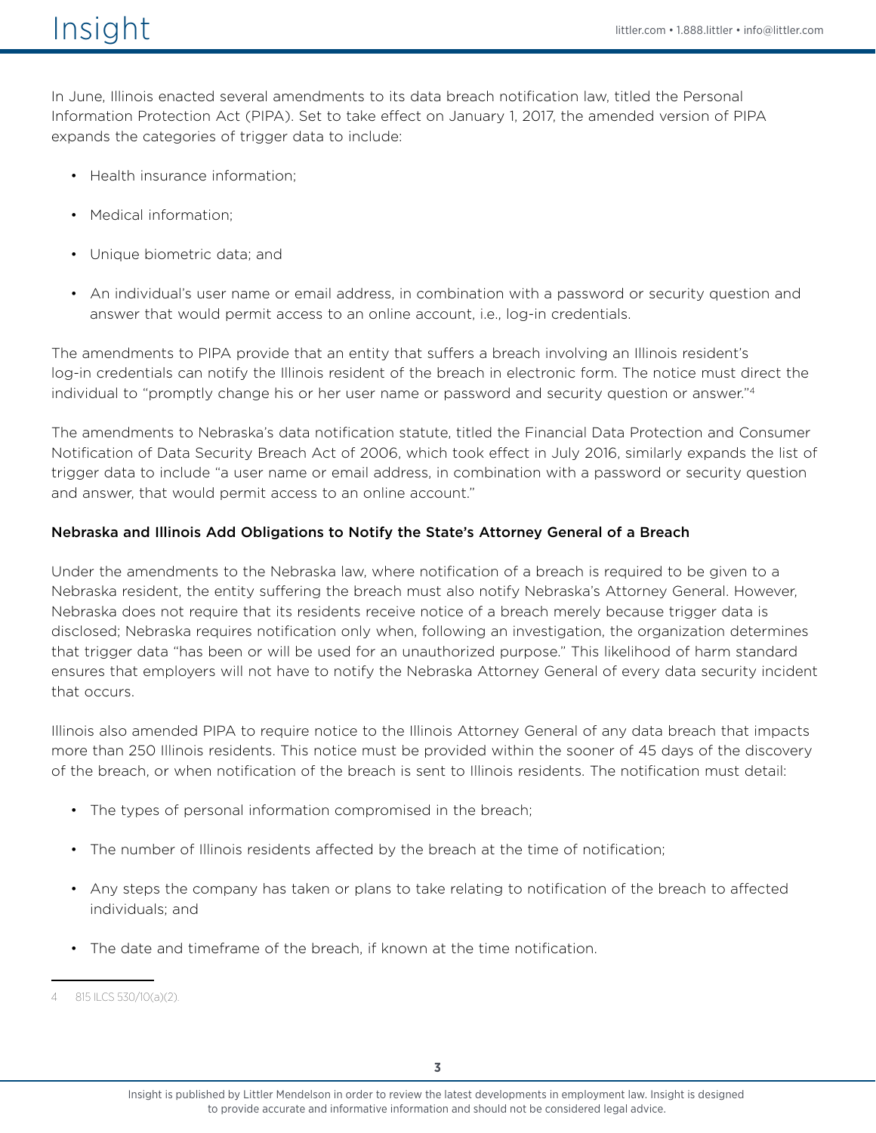In June, Illinois enacted several amendments to its data breach notification law, titled the Personal Information Protection Act (PIPA). Set to take effect on January 1, 2017, the amended version of PIPA expands the categories of trigger data to include:

- Health insurance information;
- Medical information;
- Unique biometric data; and
- An individual's user name or email address, in combination with a password or security question and answer that would permit access to an online account, i.e., log-in credentials.

The amendments to PIPA provide that an entity that suffers a breach involving an Illinois resident's log-in credentials can notify the Illinois resident of the breach in electronic form. The notice must direct the individual to "promptly change his or her user name or password and security question or answer."4

The amendments to Nebraska's data notification statute, titled the Financial Data Protection and Consumer Notification of Data Security Breach Act of 2006, which took effect in July 2016, similarly expands the list of trigger data to include "a user name or email address, in combination with a password or security question and answer, that would permit access to an online account."

#### Nebraska and Illinois Add Obligations to Notify the State's Attorney General of a Breach

Under the amendments to the Nebraska law, where notification of a breach is required to be given to a Nebraska resident, the entity suffering the breach must also notify Nebraska's Attorney General. However, Nebraska does not require that its residents receive notice of a breach merely because trigger data is disclosed; Nebraska requires notification only when, following an investigation, the organization determines that trigger data "has been or will be used for an unauthorized purpose." This likelihood of harm standard ensures that employers will not have to notify the Nebraska Attorney General of every data security incident that occurs.

Illinois also amended PIPA to require notice to the Illinois Attorney General of any data breach that impacts more than 250 Illinois residents. This notice must be provided within the sooner of 45 days of the discovery of the breach, or when notification of the breach is sent to Illinois residents. The notification must detail:

- The types of personal information compromised in the breach;
- The number of Illinois residents affected by the breach at the time of notification;
- Any steps the company has taken or plans to take relating to notification of the breach to affected individuals; and
- The date and timeframe of the breach, if known at the time notification.

<sup>815</sup> ILCS 530/10(a)(2).